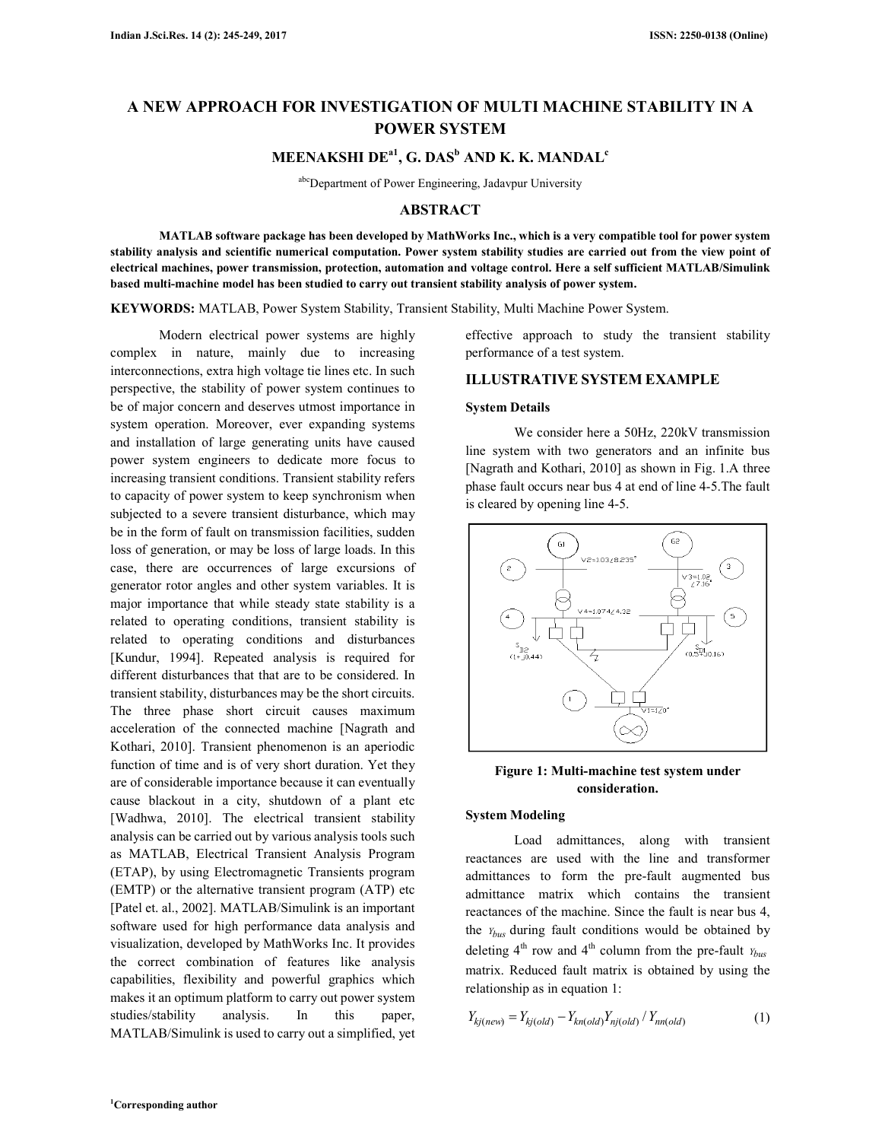# **A NEW APPROACH FOR INVESTIGATION OF MULTI MACHINE STABILITY IN A POWER SYSTEM**

**MEENAKSHI DEa1, G. DAS<sup>b</sup> AND K. K. MANDAL<sup>c</sup>**

abcDepartment of Power Engineering, Jadavpur University

#### **ABSTRACT**

**MATLAB software package has been developed by MathWorks Inc., which is a very compatible tool for power system stability analysis and scientific numerical computation. Power system stability studies are carried out from the view point of electrical machines, power transmission, protection, automation and voltage control. Here a self sufficient MATLAB/Simulink based multi-machine model has been studied to carry out transient stability analysis of power system.** 

**KEYWORDS:** MATLAB, Power System Stability, Transient Stability, Multi Machine Power System.

Modern electrical power systems are highly complex in nature, mainly due to increasing interconnections, extra high voltage tie lines etc. In such perspective, the stability of power system continues to be of major concern and deserves utmost importance in system operation. Moreover, ever expanding systems and installation of large generating units have caused power system engineers to dedicate more focus to increasing transient conditions. Transient stability refers to capacity of power system to keep synchronism when subjected to a severe transient disturbance, which may be in the form of fault on transmission facilities, sudden loss of generation, or may be loss of large loads. In this case, there are occurrences of large excursions of generator rotor angles and other system variables. It is major importance that while steady state stability is a related to operating conditions, transient stability is related to operating conditions and disturbances [Kundur, 1994]. Repeated analysis is required for different disturbances that that are to be considered. In transient stability, disturbances may be the short circuits. The three phase short circuit causes maximum acceleration of the connected machine [Nagrath and Kothari, 2010]. Transient phenomenon is an aperiodic function of time and is of very short duration. Yet they are of considerable importance because it can eventually cause blackout in a city, shutdown of a plant etc [Wadhwa, 2010]. The electrical transient stability analysis can be carried out by various analysis tools such as MATLAB, Electrical Transient Analysis Program (ETAP), by using Electromagnetic Transients program (EMTP) or the alternative transient program (ATP) etc [Patel et. al., 2002]. MATLAB/Simulink is an important software used for high performance data analysis and visualization, developed by MathWorks Inc. It provides the correct combination of features like analysis capabilities, flexibility and powerful graphics which makes it an optimum platform to carry out power system studies/stability analysis. In this paper, MATLAB/Simulink is used to carry out a simplified, yet

effective approach to study the transient stability performance of a test system.

### **ILLUSTRATIVE SYSTEM EXAMPLE**

#### **System Details**

We consider here a 50Hz, 220kV transmission line system with two generators and an infinite bus [Nagrath and Kothari, 2010] as shown in Fig. 1.A three phase fault occurs near bus 4 at end of line 4-5.The fault is cleared by opening line 4-5.



**Figure 1: Multi-machine test system under consideration.** 

#### **System Modeling**

Load admittances, along with transient reactances are used with the line and transformer admittances to form the pre-fault augmented bus admittance matrix which contains the transient reactances of the machine. Since the fault is near bus 4, the *Ybus* during fault conditions would be obtained by deleting  $4<sup>th</sup>$  row and  $4<sup>th</sup>$  column from the pre-fault  $Y_{bus}$ matrix. Reduced fault matrix is obtained by using the relationship as in equation 1:

$$
Y_{kj(new)} = Y_{kj(old)} - Y_{kn(old)}Y_{nj(old)} / Y_{nn(old)}
$$
 (1)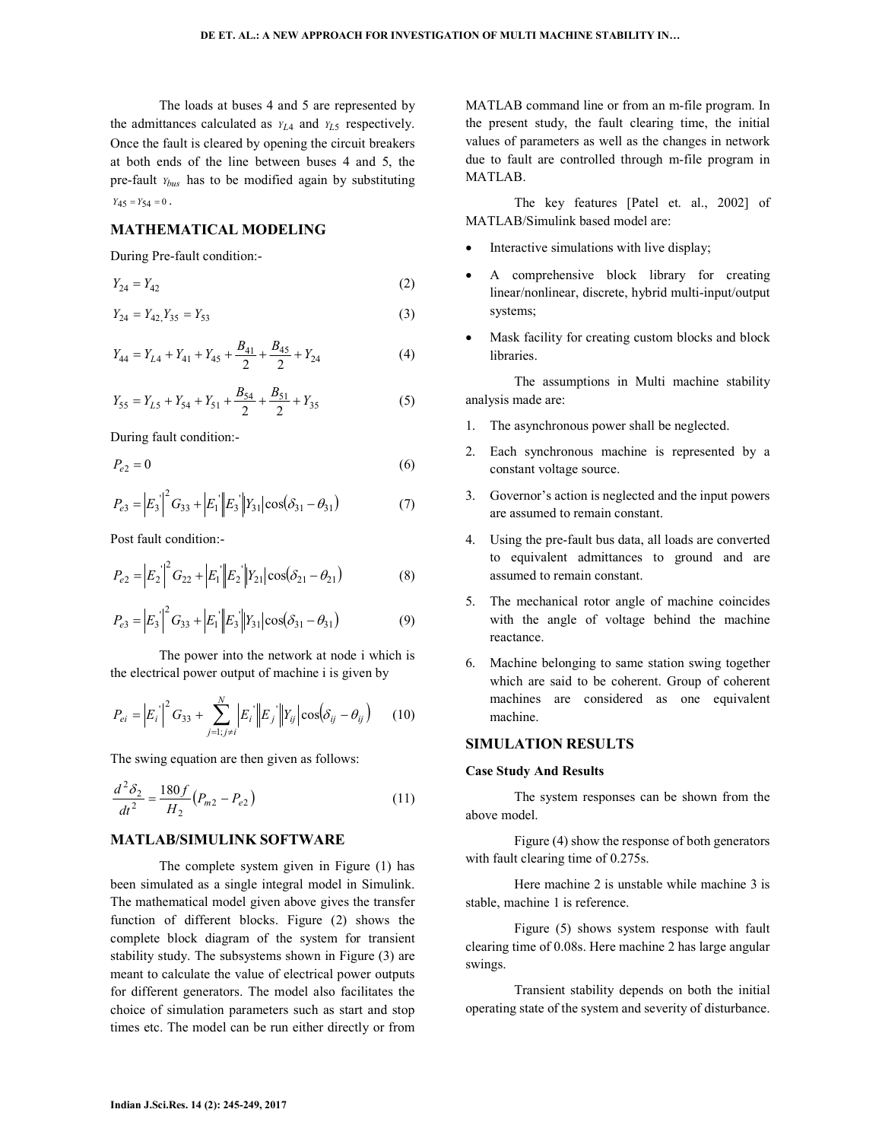The loads at buses 4 and 5 are represented by the admittances calculated as  $Y_{L4}$  and  $Y_{L5}$  respectively. Once the fault is cleared by opening the circuit breakers at both ends of the line between buses 4 and 5, the pre-fault *Ybus* has to be modified again by substituting  $Y_{45} = Y_{54} = 0$ .

### **MATHEMATICAL MODELING**

During Pre-fault condition:-

$$
Y_{24} = Y_{42} \tag{2}
$$

$$
Y_{24} = Y_{42} Y_{35} = Y_{53} \tag{3}
$$

$$
Y_{44} = Y_{L4} + Y_{41} + Y_{45} + \frac{B_{41}}{2} + \frac{B_{45}}{2} + Y_{24}
$$
 (4)

$$
Y_{55} = Y_{L5} + Y_{54} + Y_{51} + \frac{B_{54}}{2} + \frac{B_{51}}{2} + Y_{35}
$$
 (5)

During fault condition:-

$$
P_{e2} = 0 \tag{6}
$$

$$
P_{e3} = |E_3|^2 G_{33} + |E_1||E_3||Y_{31}|\cos(\delta_{31} - \theta_{31})
$$
 (7)

Post fault condition:-

$$
P_{e2} = |E_2|^2 G_{22} + |E_1||E_2||Y_{21}|\cos(\delta_{21} - \theta_{21})
$$
 (8)

$$
P_{e3} = \left| E_3 \right|^2 G_{33} + \left| E_1 \right| \left| E_3 \right| \left| Y_{31} \right| \cos(\delta_{31} - \theta_{31}) \tag{9}
$$

The power into the network at node i which is the electrical power output of machine i is given by

$$
P_{ei} = \left| E_i \right|^2 G_{33} + \sum_{j=1; j \neq i}^N \left| E_j \right| \left| E_j \right| \left| Y_{ij} \right| \cos \left( \delta_{ij} - \theta_{ij} \right) \tag{10}
$$

The swing equation are then given as follows:

$$
\frac{d^2\delta_2}{dt^2} = \frac{180f}{H_2}(P_{m2} - P_{e2})
$$
\n(11)

### **MATLAB/SIMULINK SOFTWARE**

The complete system given in Figure (1) has been simulated as a single integral model in Simulink. The mathematical model given above gives the transfer function of different blocks. Figure (2) shows the complete block diagram of the system for transient stability study. The subsystems shown in Figure (3) are meant to calculate the value of electrical power outputs for different generators. The model also facilitates the choice of simulation parameters such as start and stop times etc. The model can be run either directly or from MATLAB command line or from an m-file program. In the present study, the fault clearing time, the initial values of parameters as well as the changes in network due to fault are controlled through m-file program in MATLAB.

The key features [Patel et. al., 2002] of MATLAB/Simulink based model are:

- Interactive simulations with live display;
- A comprehensive block library for creating linear/nonlinear, discrete, hybrid multi-input/output systems;
- Mask facility for creating custom blocks and block libraries.

The assumptions in Multi machine stability analysis made are:

- 1. The asynchronous power shall be neglected.
- 2. Each synchronous machine is represented by a constant voltage source.
- 3. Governor's action is neglected and the input powers are assumed to remain constant.
- 4. Using the pre-fault bus data, all loads are converted to equivalent admittances to ground and are assumed to remain constant.
- 5. The mechanical rotor angle of machine coincides with the angle of voltage behind the machine reactance.
- 6. Machine belonging to same station swing together which are said to be coherent. Group of coherent machines are considered as one equivalent machine.

### **SIMULATION RESULTS**

#### **Case Study And Results**

The system responses can be shown from the above model.

Figure (4) show the response of both generators with fault clearing time of 0.275s.

Here machine 2 is unstable while machine 3 is stable, machine 1 is reference.

Figure (5) shows system response with fault clearing time of 0.08s. Here machine 2 has large angular swings.

Transient stability depends on both the initial operating state of the system and severity of disturbance.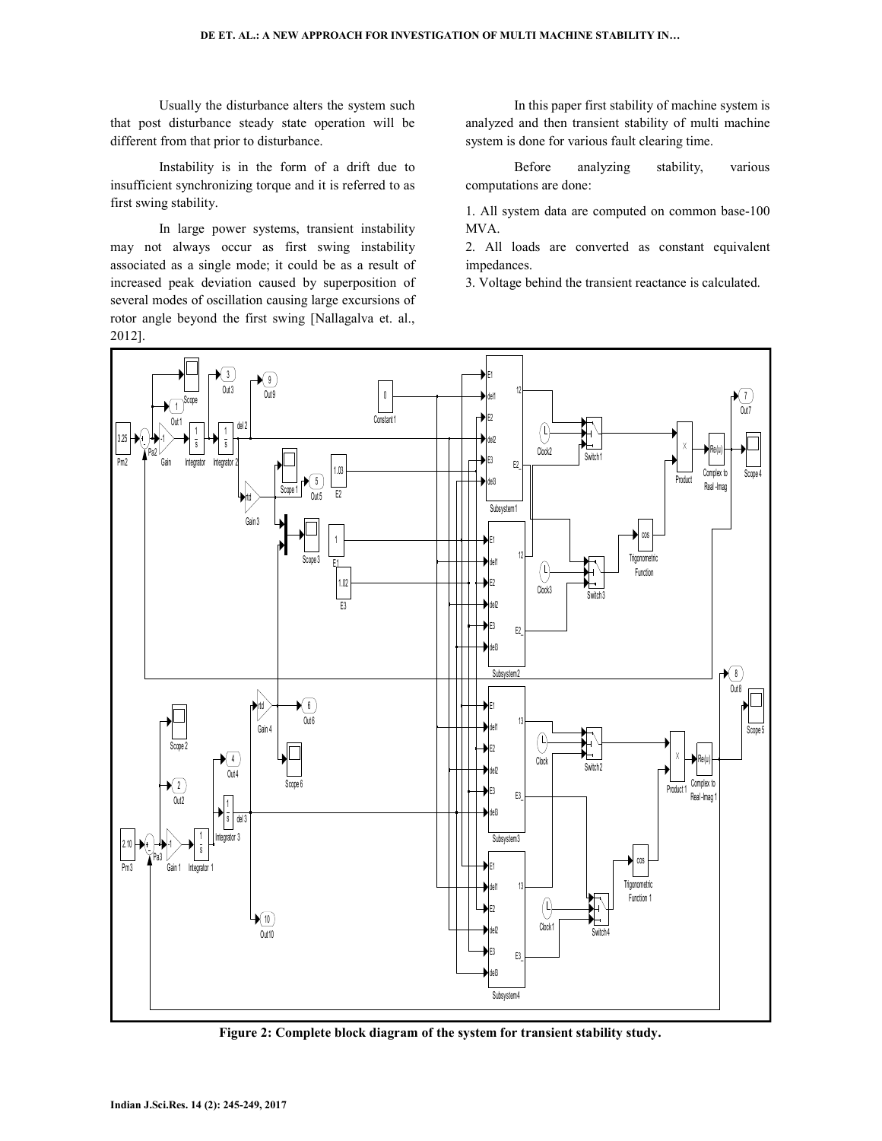Usually the disturbance alters the system such that post disturbance steady state operation will be different from that prior to disturbance.

Instability is in the form of a drift due to insufficient synchronizing torque and it is referred to as first swing stability.

In large power systems, transient instability may not always occur as first swing instability associated as a single mode; it could be as a result of increased peak deviation caused by superposition of several modes of oscillation causing large excursions of rotor angle beyond the first swing [Nallagalva et. al., 2012].

In this paper first stability of machine system is analyzed and then transient stability of multi machine system is done for various fault clearing time.

Before analyzing stability, various computations are done:

1. All system data are computed on common base-100 MVA.

2. All loads are converted as constant equivalent impedances.

3. Voltage behind the transient reactance is calculated.



**Figure 2: Complete block diagram of the system for transient stability study.**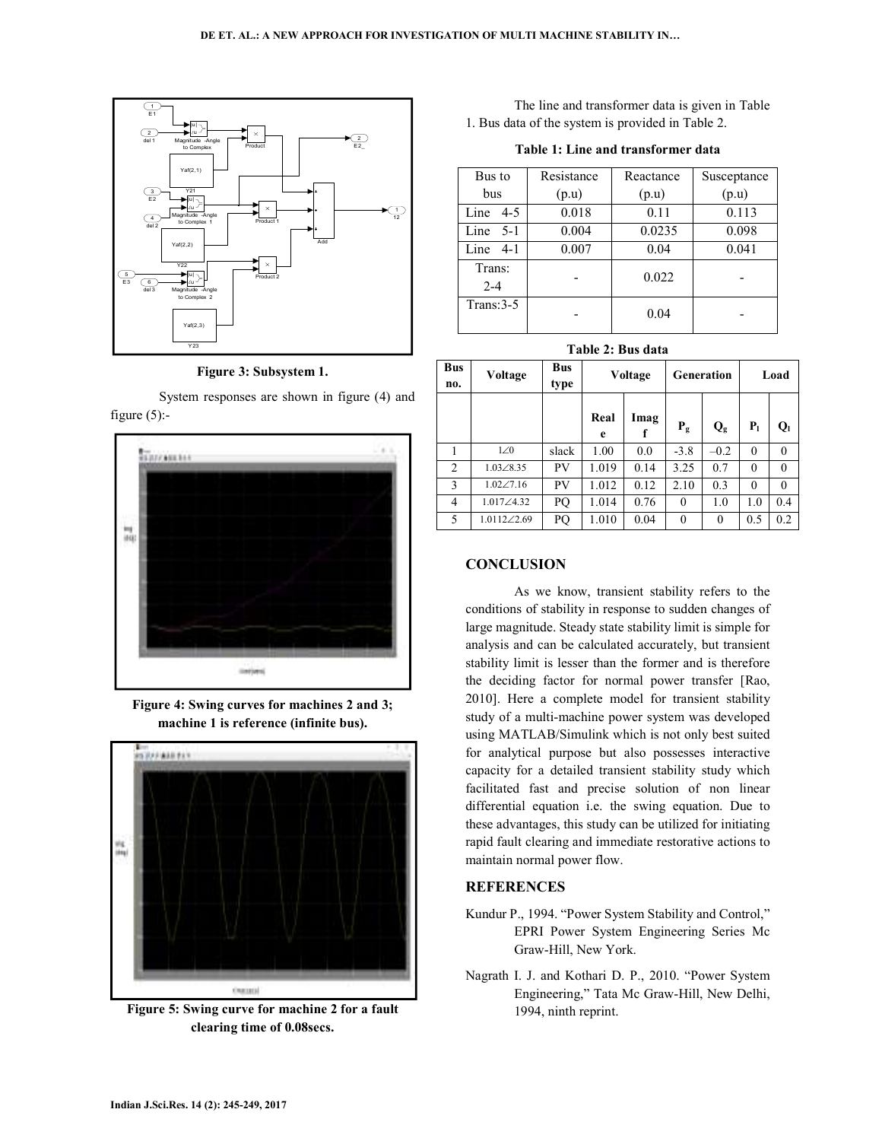

**Figure 3: Subsystem 1.** 

System responses are shown in figure (4) and figure  $(5)$ :-



**Figure 4: Swing curves for machines 2 and 3; machine 1 is reference (infinite bus).** 



**Figure 5: Swing curve for machine 2 for a fault clearing time of 0.08secs.** 

The line and transformer data is given in Table 1. Bus data of the system is provided in Table 2.

**Table 1: Line and transformer data** 

| Bus to       | Resistance | Reactance | Susceptance |  |  |
|--------------|------------|-----------|-------------|--|--|
| bus          | (p.u)      | (p.u)     | (p.u)       |  |  |
| Line<br>4-5  | 0.018      | 0.11      | 0.113       |  |  |
| Line $5-1$   | 0.004      | 0.0235    | 0.098       |  |  |
| Line $4-1$   | 0.007      | 0.04      | 0.041       |  |  |
| Trans:       |            | 0.022     |             |  |  |
| $2 - 4$      |            |           |             |  |  |
| $Trans: 3-5$ |            | 0.04      |             |  |  |
|              |            |           |             |  |  |

**Table 2: Bus data** 

| <b>Bus</b><br>no. | Voltage             | Bus<br>type | Voltage   |      | <b>Generation</b> |          | Load     |          |
|-------------------|---------------------|-------------|-----------|------|-------------------|----------|----------|----------|
|                   |                     |             | Real<br>e | Imag | $P_g$             | $Q_{g}$  | $P_1$    | Q,       |
|                   | $1\angle 0$         | slack       | 1.00      | 0.0  | $-3.8$            | $-0.2$   | $\theta$ | $\theta$ |
| 2                 | $1.03\angle 8.35$   | PV          | 1.019     | 0.14 | 3.25              | 0.7      | $\theta$ | $\theta$ |
| 3                 | $1.02 \angle 7.16$  | PV          | 1.012     | 0.12 | 2.10              | 0.3      | $\theta$ | $\theta$ |
| 4                 | $1.017\angle 4.32$  | PQ          | 1.014     | 0.76 | $\theta$          | 1.0      | 1.0      | 0.4      |
| 5                 | $1.0112\angle 2.69$ | PQ          | 1.010     | 0.04 | $\theta$          | $\theta$ | 0.5      | 0.2      |

## **CONCLUSION**

As we know, transient stability refers to the conditions of stability in response to sudden changes of large magnitude. Steady state stability limit is simple for analysis and can be calculated accurately, but transient stability limit is lesser than the former and is therefore the deciding factor for normal power transfer [Rao, 2010]. Here a complete model for transient stability study of a multi-machine power system was developed using MATLAB/Simulink which is not only best suited for analytical purpose but also possesses interactive capacity for a detailed transient stability study which facilitated fast and precise solution of non linear differential equation i.e. the swing equation. Due to these advantages, this study can be utilized for initiating rapid fault clearing and immediate restorative actions to maintain normal power flow.

### **REFERENCES**

- Kundur P., 1994. "Power System Stability and Control," EPRI Power System Engineering Series Mc Graw-Hill, New York.
- Nagrath I. J. and Kothari D. P., 2010. "Power System Engineering," Tata Mc Graw-Hill, New Delhi, 1994, ninth reprint.